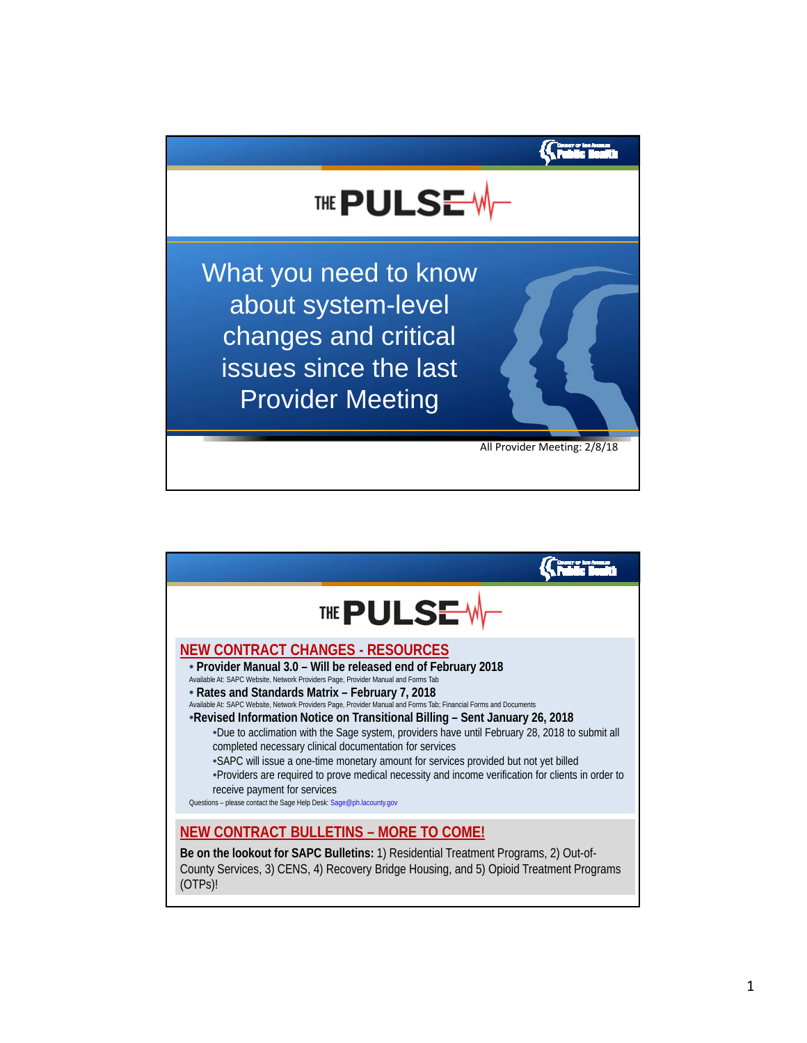

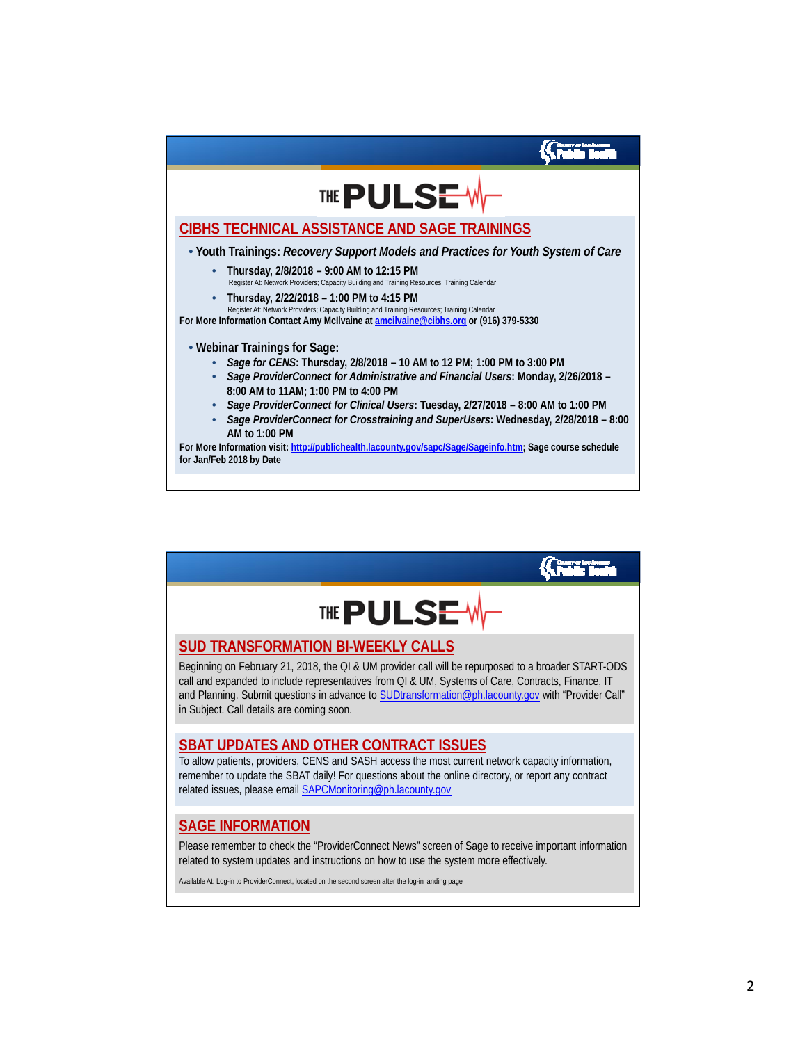

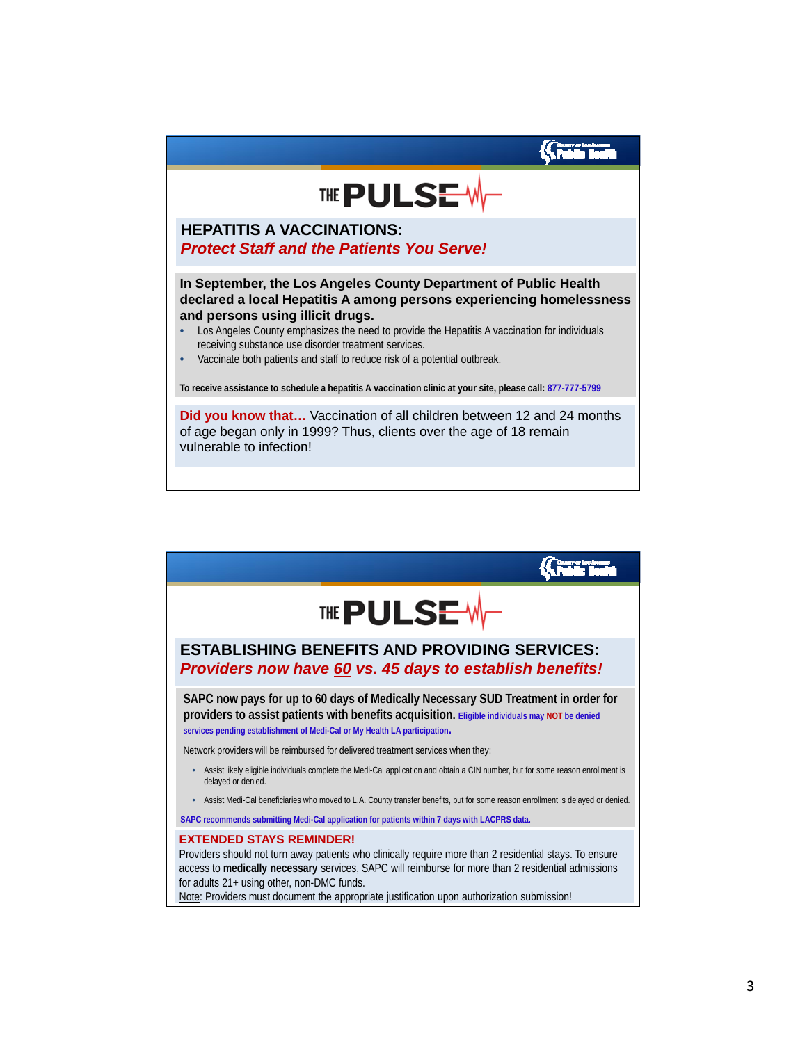

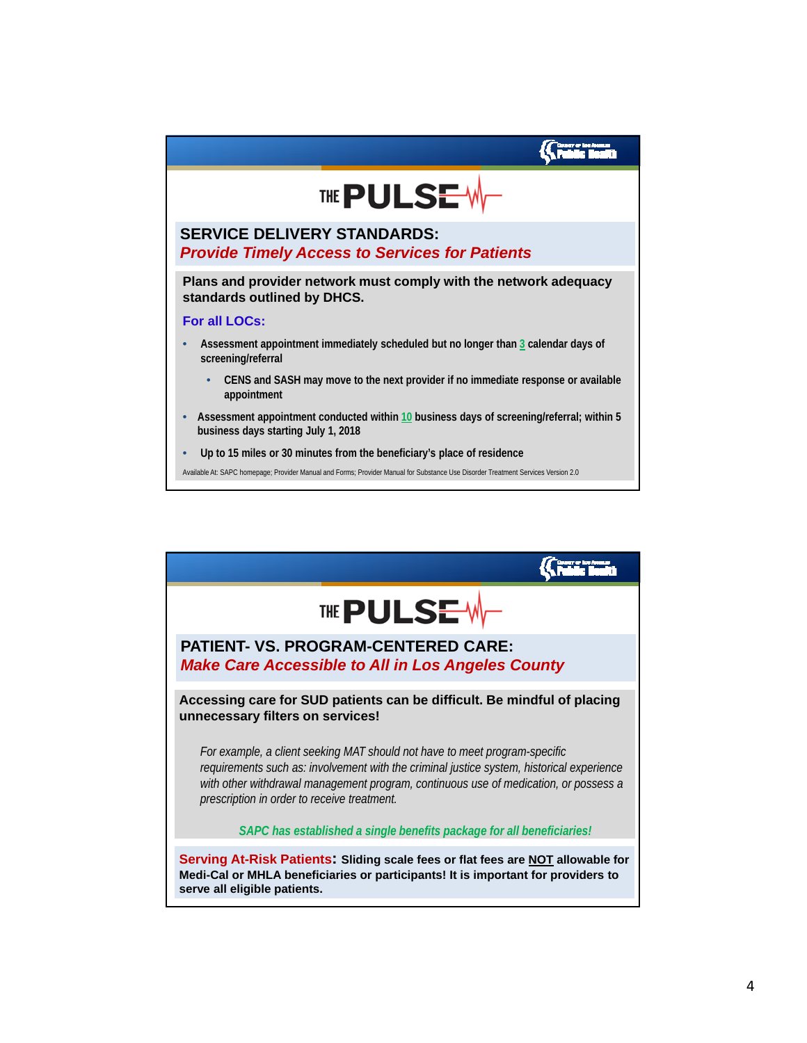

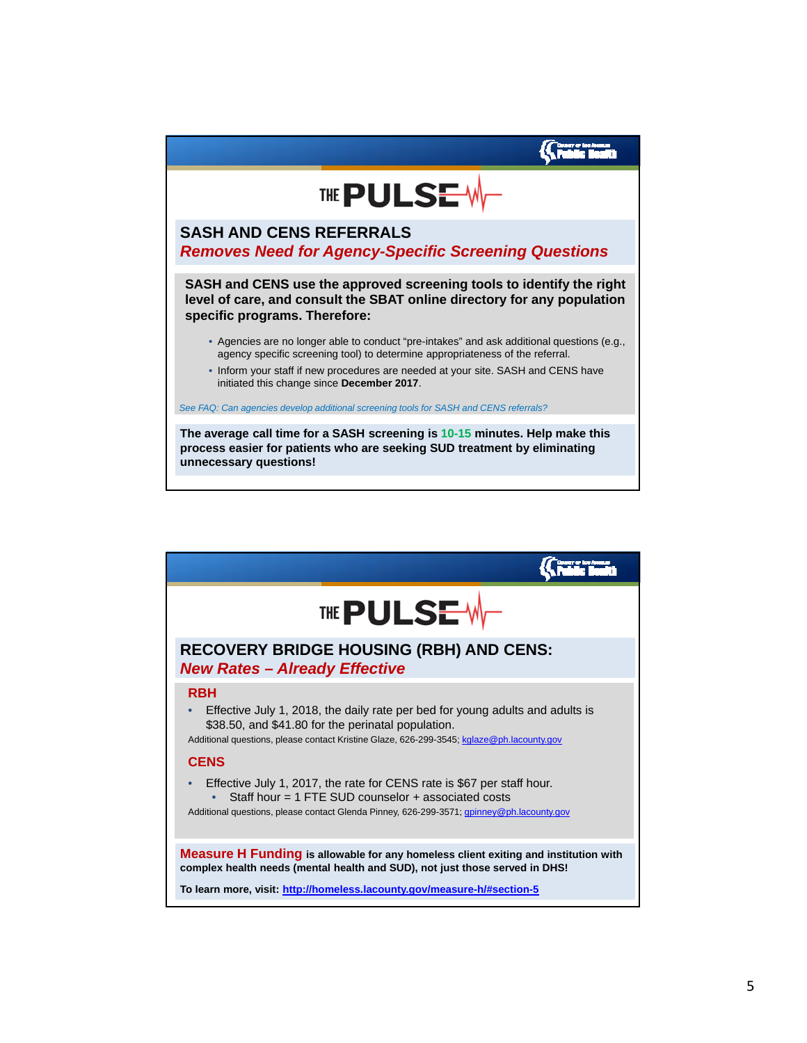

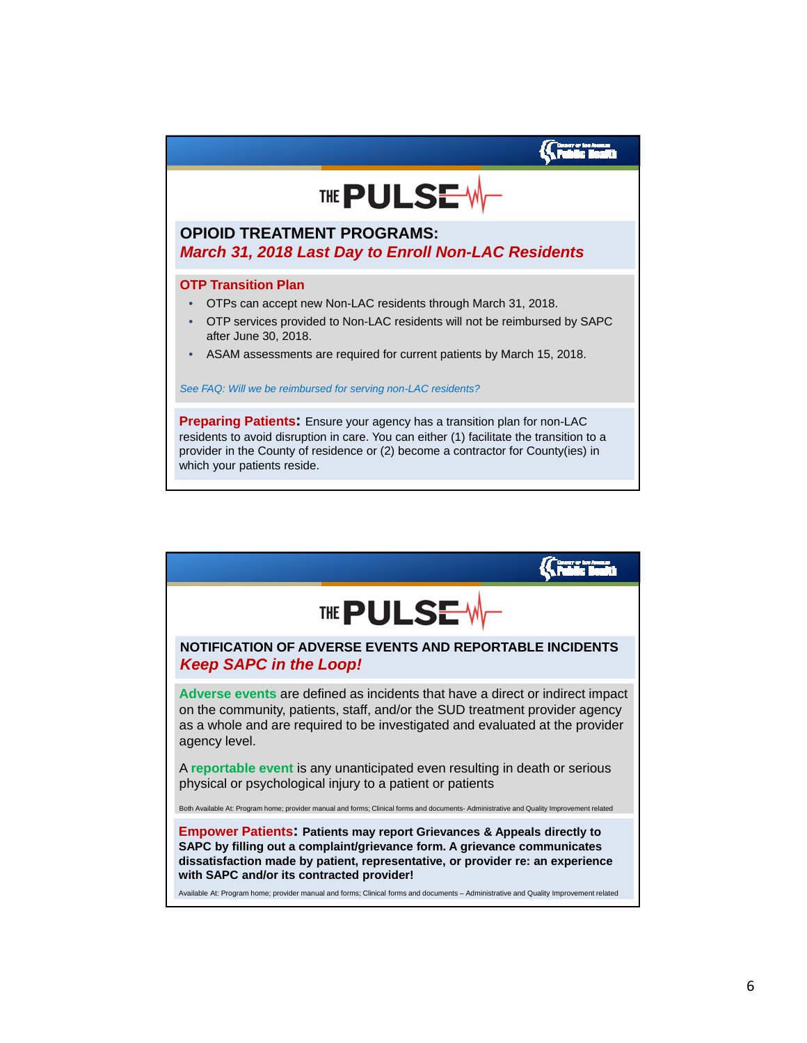

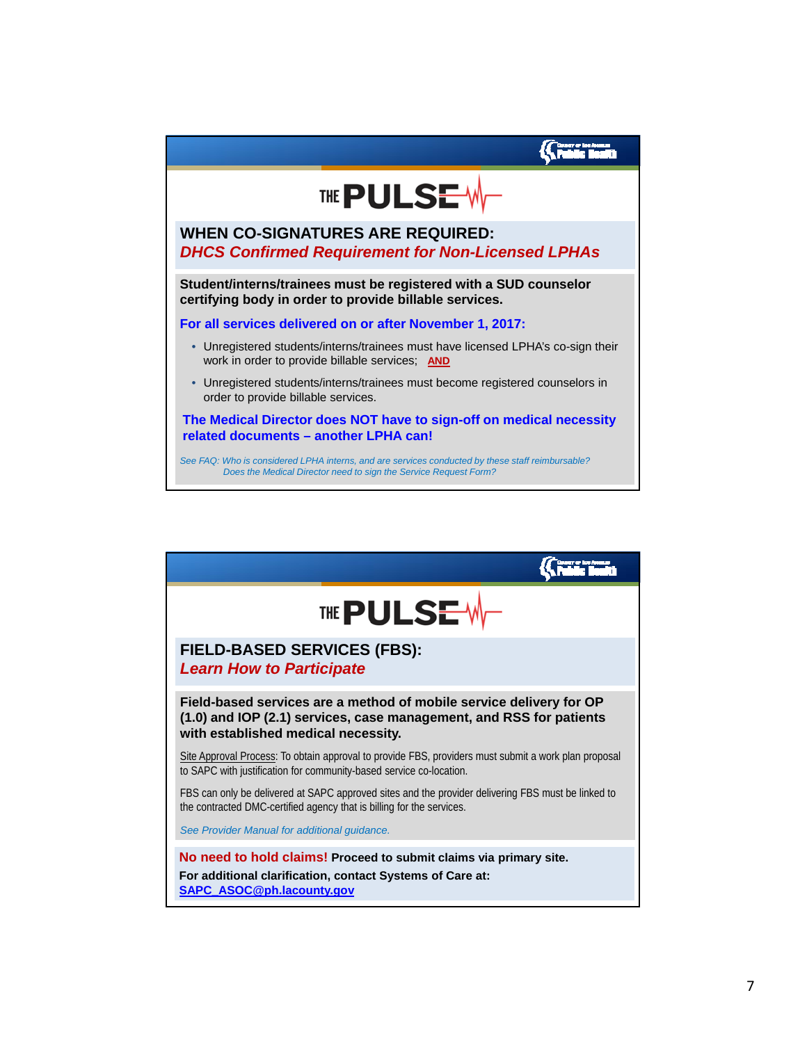

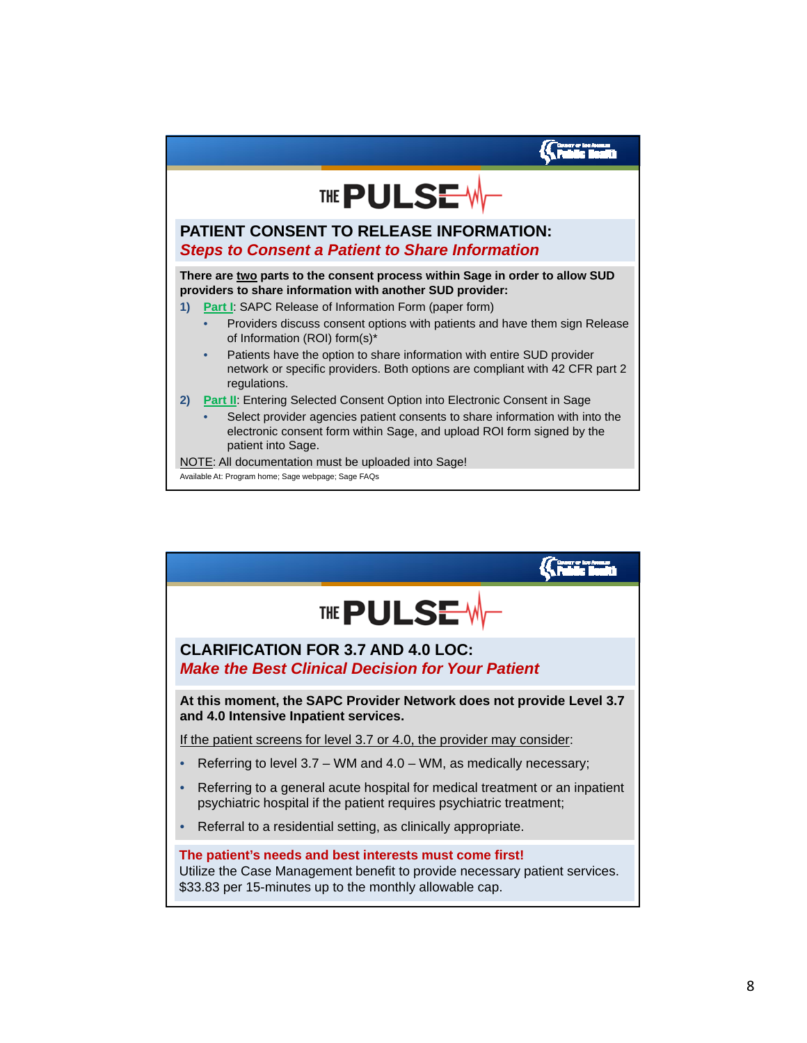